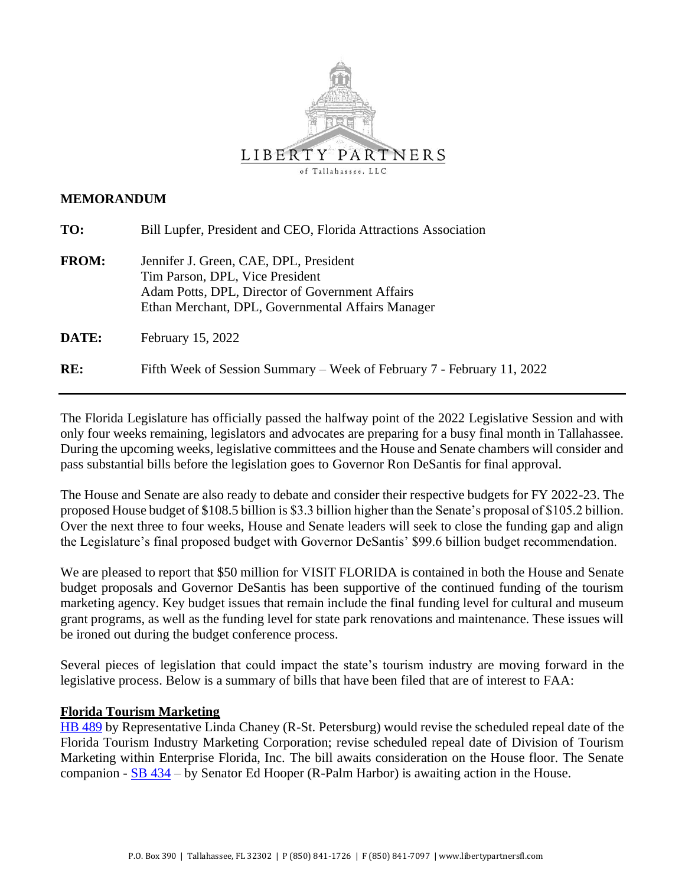

### **MEMORANDUM**

| TO:          | Bill Lupfer, President and CEO, Florida Attractions Association                                                                                                                   |
|--------------|-----------------------------------------------------------------------------------------------------------------------------------------------------------------------------------|
| <b>FROM:</b> | Jennifer J. Green, CAE, DPL, President<br>Tim Parson, DPL, Vice President<br>Adam Potts, DPL, Director of Government Affairs<br>Ethan Merchant, DPL, Governmental Affairs Manager |
| DATE:        | February 15, 2022                                                                                                                                                                 |
| RE:          | Fifth Week of Session Summary – Week of February 7 - February 11, 2022                                                                                                            |

The Florida Legislature has officially passed the halfway point of the 2022 Legislative Session and with only four weeks remaining, legislators and advocates are preparing for a busy final month in Tallahassee. During the upcoming weeks, legislative committees and the House and Senate chambers will consider and pass substantial bills before the legislation goes to Governor Ron DeSantis for final approval.

The House and Senate are also ready to debate and consider their respective budgets for FY 2022-23. The proposed House budget of \$108.5 billion is \$3.3 billion higher than the Senate's proposal of \$105.2 billion. Over the next three to four weeks, House and Senate leaders will seek to close the funding gap and align the Legislature's final proposed budget with Governor DeSantis' \$99.6 billion budget recommendation.

We are pleased to report that \$50 million for VISIT FLORIDA is contained in both the House and Senate budget proposals and Governor DeSantis has been supportive of the continued funding of the tourism marketing agency. Key budget issues that remain include the final funding level for cultural and museum grant programs, as well as the funding level for state park renovations and maintenance. These issues will be ironed out during the budget conference process.

Several pieces of legislation that could impact the state's tourism industry are moving forward in the legislative process. Below is a summary of bills that have been filed that are of interest to FAA:

# **Florida Tourism Marketing**

[HB 489](https://www.myfloridahouse.gov/Sections/Bills/billsdetail.aspx?BillId=73966&SessionId=93) by Representative Linda Chaney (R-St. Petersburg) would revise the scheduled repeal date of the Florida Tourism Industry Marketing Corporation; revise scheduled repeal date of Division of Tourism Marketing within Enterprise Florida, Inc. The bill awaits consideration on the House floor. The Senate companion - [SB 434](https://www.flsenate.gov/Session/Bill/2022/434) – by Senator Ed Hooper (R-Palm Harbor) is awaiting action in the House.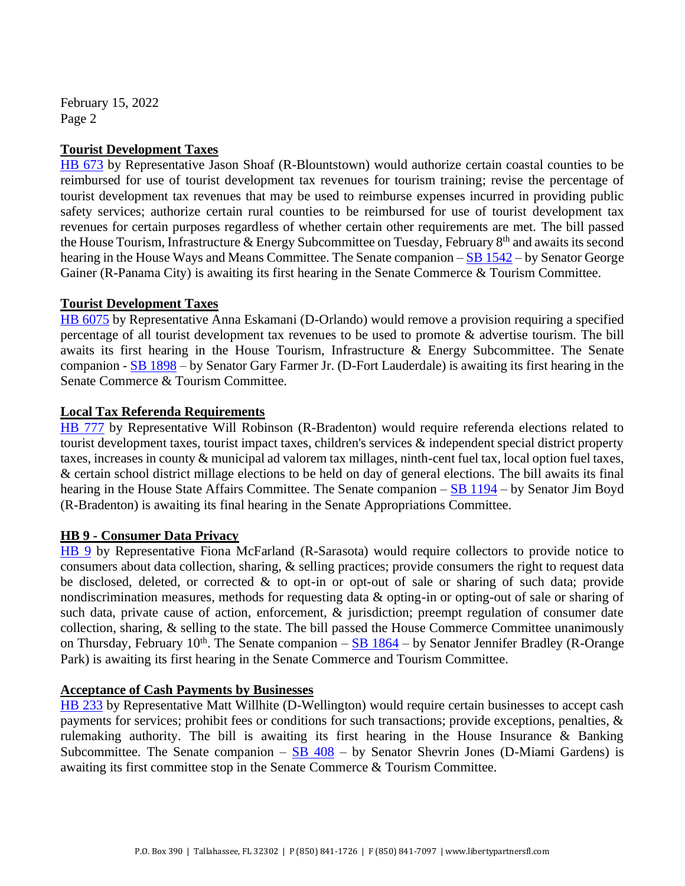February 15, 2022 Page 2

# **Tourist Development Taxes**

[HB 673](https://www.myfloridahouse.gov/Sections/Bills/billsdetail.aspx?BillId=74794&SessionId=93) by Representative Jason Shoaf (R-Blountstown) would authorize certain coastal counties to be reimbursed for use of tourist development tax revenues for tourism training; revise the percentage of tourist development tax revenues that may be used to reimburse expenses incurred in providing public safety services; authorize certain rural counties to be reimbursed for use of tourist development tax revenues for certain purposes regardless of whether certain other requirements are met. The bill passed the House Tourism, Infrastructure & Energy Subcommittee on Tuesday, February 8<sup>th</sup> and awaits its second hearing in the House Ways and Means Committee. The Senate companion  $-\underline{SB}$  1542 – by Senator George Gainer (R-Panama City) is awaiting its first hearing in the Senate Commerce & Tourism Committee.

### **Tourist Development Taxes**

[HB 6075](https://www.myfloridahouse.gov/Sections/Bills/billsdetail.aspx?BillId=73902&SessionId=93) by Representative Anna Eskamani (D-Orlando) would remove a provision requiring a specified percentage of all tourist development tax revenues to be used to promote & advertise tourism. The bill awaits its first hearing in the House Tourism, Infrastructure & Energy Subcommittee. The Senate companion - [SB 1898](https://www.flsenate.gov/Session/Bill/2022/1898) – by Senator Gary Farmer Jr. (D-Fort Lauderdale) is awaiting its first hearing in the Senate Commerce & Tourism Committee.

### **Local Tax Referenda Requirements**

[HB 777](https://www.myfloridahouse.gov/Sections/Bills/billsdetail.aspx?BillId=75205&SessionId=93) by Representative Will Robinson (R-Bradenton) would require referenda elections related to tourist development taxes, tourist impact taxes, children's services & independent special district property taxes, increases in county & municipal ad valorem tax millages, ninth-cent fuel tax, local option fuel taxes, & certain school district millage elections to be held on day of general elections. The bill awaits its final hearing in the House State Affairs Committee. The Senate companion – [SB 1194](https://www.flsenate.gov/Session/Bill/2022/1194) – by Senator Jim Boyd (R-Bradenton) is awaiting its final hearing in the Senate Appropriations Committee.

#### **HB 9 - Consumer Data Privacy**

[HB 9](https://www.myfloridahouse.gov/Sections/Bills/billsdetail.aspx?BillId=76556&SessionId=93) by Representative Fiona McFarland (R-Sarasota) would require collectors to provide notice to consumers about data collection, sharing, & selling practices; provide consumers the right to request data be disclosed, deleted, or corrected & to opt-in or opt-out of sale or sharing of such data; provide nondiscrimination measures, methods for requesting data & opting-in or opting-out of sale or sharing of such data, private cause of action, enforcement, & jurisdiction; preempt regulation of consumer date collection, sharing, & selling to the state. The bill passed the House Commerce Committee unanimously on Thursday, February 10<sup>th</sup>. The Senate companion – [SB 1864](https://www.flsenate.gov/Session/Bill/2022/1864) – by Senator Jennifer Bradley (R-Orange Park) is awaiting its first hearing in the Senate Commerce and Tourism Committee.

#### **Acceptance of Cash Payments by Businesses**

[HB 233](https://www.myfloridahouse.gov/Sections/Bills/billsdetail.aspx?BillId=73352&SessionId=93) by Representative Matt Willhite (D-Wellington) would require certain businesses to accept cash payments for services; prohibit fees or conditions for such transactions; provide exceptions, penalties, & rulemaking authority. The bill is awaiting its first hearing in the House Insurance & Banking Subcommittee. The Senate companion –  $SB$  408 – by Senator Shevrin Jones (D-Miami Gardens) is awaiting its first committee stop in the Senate Commerce & Tourism Committee.